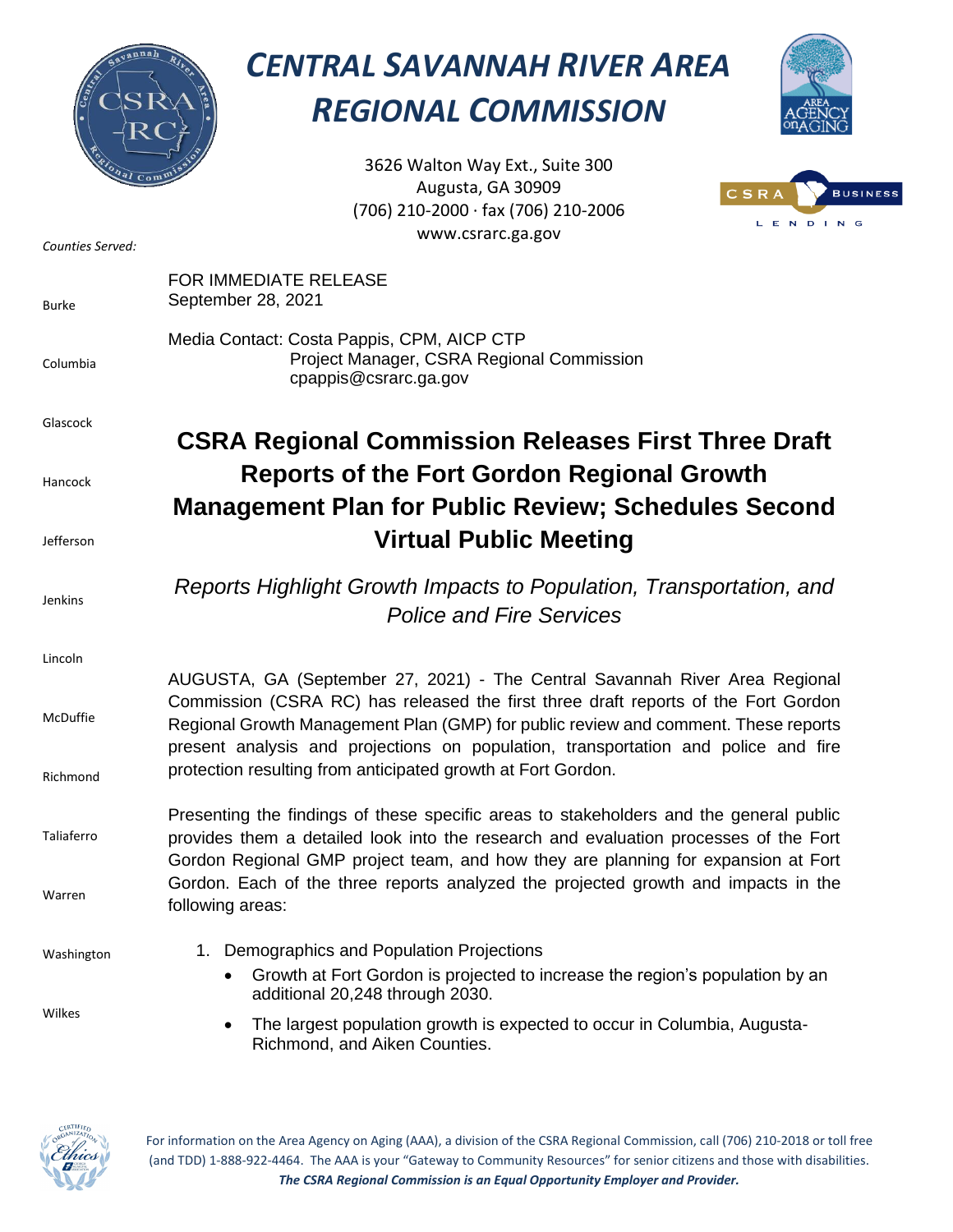

## *CENTRAL SAVANNAH RIVER AREA REGIONAL COMMISSION*



3626 Walton Way Ext., Suite 300 Augusta, GA 30909 (706) 210-2000 ∙ fax (706) 210-2006 www.csrarc.ga.gov



| Counties Served: | www.csrarc.ga.gov                                                                                                                                                                                                                                                   |
|------------------|---------------------------------------------------------------------------------------------------------------------------------------------------------------------------------------------------------------------------------------------------------------------|
| <b>Burke</b>     | <b>FOR IMMEDIATE RELEASE</b><br>September 28, 2021                                                                                                                                                                                                                  |
| Columbia         | Media Contact: Costa Pappis, CPM, AICP CTP<br>Project Manager, CSRA Regional Commission<br>cpappis@csrarc.ga.gov                                                                                                                                                    |
| Glascock         | <b>CSRA Regional Commission Releases First Three Draft</b>                                                                                                                                                                                                          |
| Hancock          | <b>Reports of the Fort Gordon Regional Growth</b><br><b>Management Plan for Public Review; Schedules Second</b>                                                                                                                                                     |
| Jefferson        | <b>Virtual Public Meeting</b>                                                                                                                                                                                                                                       |
| Jenkins          | Reports Highlight Growth Impacts to Population, Transportation, and<br><b>Police and Fire Services</b>                                                                                                                                                              |
| Lincoln          | AUGUSTA, GA (September 27, 2021) - The Central Savannah River Area Regional                                                                                                                                                                                         |
| McDuffie         | Commission (CSRA RC) has released the first three draft reports of the Fort Gordon<br>Regional Growth Management Plan (GMP) for public review and comment. These reports<br>present analysis and projections on population, transportation and police and fire      |
| Richmond         | protection resulting from anticipated growth at Fort Gordon.                                                                                                                                                                                                        |
| Taliaferro       | Presenting the findings of these specific areas to stakeholders and the general public<br>provides them a detailed look into the research and evaluation processes of the Fort<br>Gordon Regional GMP project team, and how they are planning for expansion at Fort |
| Warren           | Gordon. Each of the three reports analyzed the projected growth and impacts in the<br>following areas:                                                                                                                                                              |
| Washington       | 1. Demographics and Population Projections<br>Growth at Fort Gordon is projected to increase the region's population by an<br>additional 20,248 through 2030.                                                                                                       |
| Wilkes           | The largest population growth is expected to occur in Columbia, Augusta-<br>Richmond, and Aiken Counties.                                                                                                                                                           |